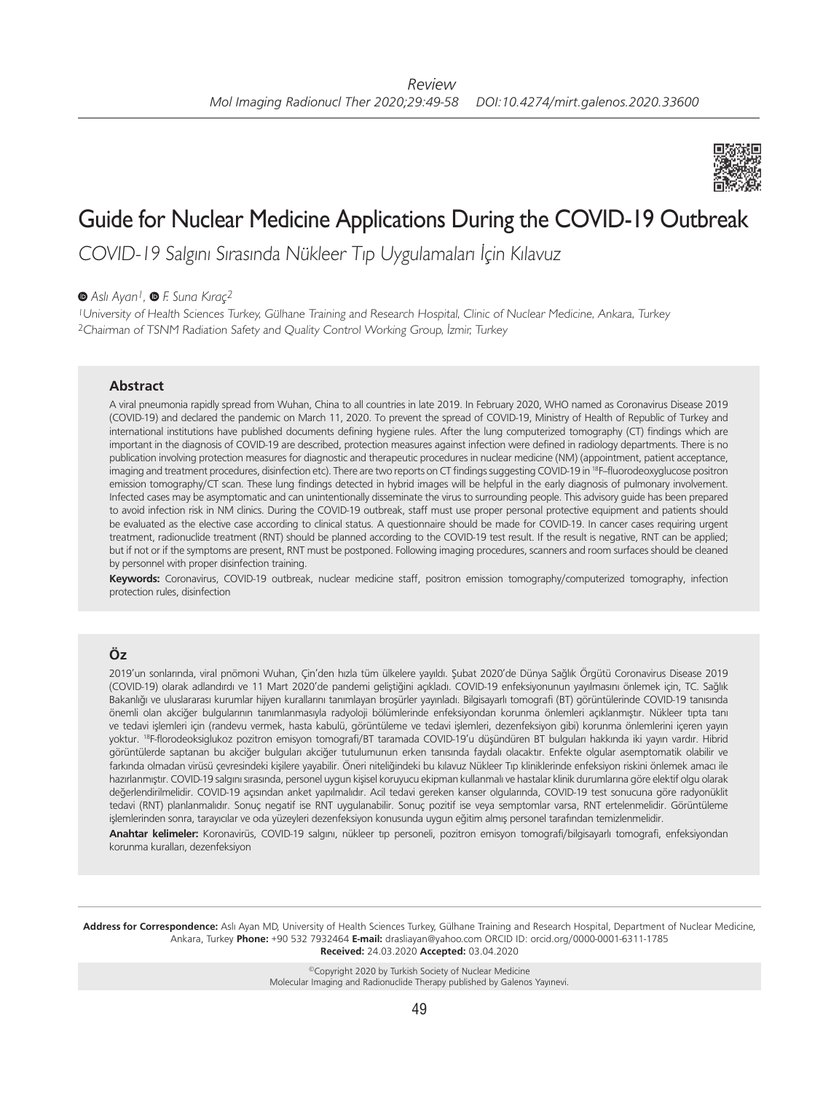

# Guide for Nuclear Medicine Applications During the COVID-19 Outbreak

COVID-19 Salgını Sırasında Nükleer Tıp Uygulamaları İçin Kılavuz

*Aslı Ayan1,F. Suna Kıraç2*

<sup>1</sup>University of Health Sciences Turkey, Gülhane Training and Research Hospital, Clinic of Nuclear Medicine, Ankara, Turkey <sup>2</sup>Chairman of TSNM Radiation Safety and Quality Control Working Group, İzmir, Turkey

### **Abstract**

A viral pneumonia rapidly spread from Wuhan, China to all countries in late 2019. In February 2020, WHO named as Coronavirus Disease 2019 (COVID-19) and declared the pandemic on March 11, 2020. To prevent the spread of COVID-19, Ministry of Health of Republic of Turkey and international institutions have published documents defining hygiene rules. After the lung computerized tomography (CT) findings which are important in the diagnosis of COVID-19 are described, protection measures against infection were defined in radiology departments. There is no publication involving protection measures for diagnostic and therapeutic procedures in nuclear medicine (NM) (appointment, patient acceptance, imaging and treatment procedures, disinfection etc). There are two reports on CT findings suggesting COVID-19 in <sup>18</sup>F-fluorodeoxyglucose positron emission tomography/CT scan. These lung findings detected in hybrid images will be helpful in the early diagnosis of pulmonary involvement. Infected cases may be asymptomatic and can unintentionally disseminate the virus to surrounding people. This advisory guide has been prepared to avoid infection risk in NM clinics. During the COVID-19 outbreak, staff must use proper personal protective equipment and patients should be evaluated as the elective case according to clinical status. A questionnaire should be made for COVID-19. In cancer cases requiring urgent treatment, radionuclide treatment (RNT) should be planned according to the COVID-19 test result. If the result is negative, RNT can be applied; but if not or if the symptoms are present, RNT must be postponed. Following imaging procedures, scanners and room surfaces should be cleaned by personnel with proper disinfection training.

**Keywords:** Coronavirus, COVID-19 outbreak, nuclear medicine staff, positron emission tomography/computerized tomography, infection protection rules, disinfection

# **Öz**

2019'un sonlarında, viral pnömoni Wuhan, Çin'den hızla tüm ülkelere yayıldı. Şubat 2020'de Dünya Sağlık Örgütü Coronavirus Disease 2019 (COVID-19) olarak adlandırdı ve 11 Mart 2020'de pandemi geliştiğini açıkladı. COVID-19 enfeksiyonunun yayılmasını önlemek için, TC. Sağlık Bakanlığı ve uluslararası kurumlar hijyen kurallarını tanımlayan broşürler yayınladı. Bilgisayarlı tomografi (BT) görüntülerinde COVID-19 tanısında önemli olan akciğer bulgularının tanımlanmasıyla radyoloji bölümlerinde enfeksiyondan korunma önlemleri açıklanmıştır. Nükleer tıpta tanı ve tedavi işlemleri için (randevu vermek, hasta kabulü, görüntüleme ve tedavi işlemleri, dezenfeksiyon gibi) korunma önlemlerini içeren yayın yoktur. 18F-florodeoksiglukoz pozitron emisyon tomografi/BT taramada COVID-19'u düşündüren BT bulguları hakkında iki yayın vardır. Hibrid görüntülerde saptanan bu akciğer bulguları akciğer tutulumunun erken tanısında faydalı olacaktır. Enfekte olgular asemptomatik olabilir ve farkında olmadan virüsü çevresindeki kişilere yayabilir. Öneri niteliğindeki bu kılavuz Nükleer Tıp kliniklerinde enfeksiyon riskini önlemek amacı ile hazırlanmıştır. COVID-19 salgını sırasında, personel uygun kişisel koruyucu ekipman kullanmalı ve hastalar klinik durumlarına göre elektif olgu olarak değerlendirilmelidir. COVID-19 açısından anket yapılmalıdır. Acil tedavi gereken kanser olgularında, COVID-19 test sonucuna göre radyonüklit tedavi (RNT) planlanmalıdır. Sonuç negatif ise RNT uygulanabilir. Sonuç pozitif ise veya semptomlar varsa, RNT ertelenmelidir. Görüntüleme işlemlerinden sonra, tarayıcılar ve oda yüzeyleri dezenfeksiyon konusunda uygun eğitim almış personel tarafından temizlenmelidir.

**Anahtar kelimeler:** Koronavirüs, COVID-19 salgını, nükleer tıp personeli, pozitron emisyon tomografi/bilgisayarlı tomografi, enfeksiyondan korunma kuralları, dezenfeksiyon

**Address for Correspondence:** Aslı Ayan MD, University of Health Sciences Turkey, Gülhane Training and Research Hospital, Department of Nuclear Medicine, Ankara, Turkey **Phone:** +90 532 7932464 **E-mail:** drasliayan@yahoo.com ORCID ID: orcid.org/0000-0001-6311-1785 **Received:** 24.03.2020 **Accepted:** 03.04.2020

> ©Copyright 2020 by Turkish Society of Nuclear Medicine Molecular Imaging and Radionuclide Therapy published by Galenos Yayınevi.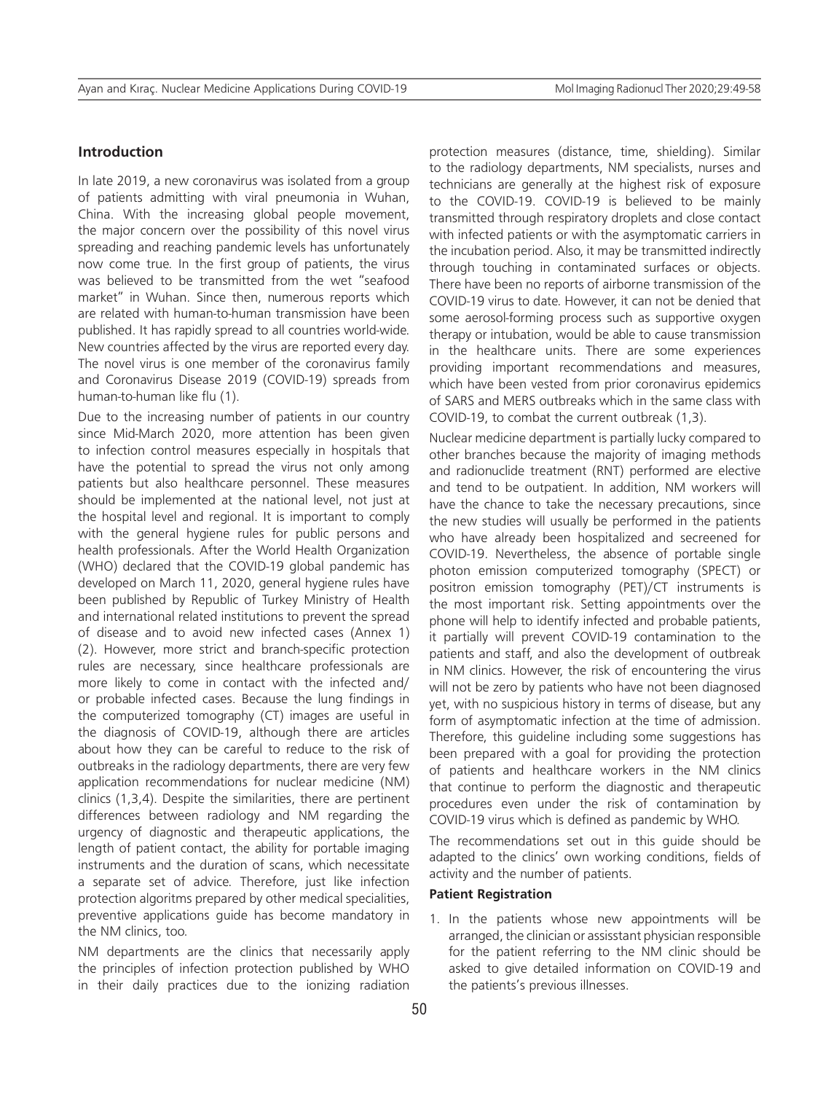#### **Introduction**

In late 2019, a new coronavirus was isolated from a group of patients admitting with viral pneumonia in Wuhan, China. With the increasing global people movement, the major concern over the possibility of this novel virus spreading and reaching pandemic levels has unfortunately now come true. In the first group of patients, the virus was believed to be transmitted from the wet "seafood market" in Wuhan. Since then, numerous reports which are related with human-to-human transmission have been published. It has rapidly spread to all countries world-wide. New countries affected by the virus are reported every day. The novel virus is one member of the coronavirus family and Coronavirus Disease 2019 (COVID-19) spreads from human-to-human like flu (1).

Due to the increasing number of patients in our country since Mid-March 2020, more attention has been given to infection control measures especially in hospitals that have the potential to spread the virus not only among patients but also healthcare personnel. These measures should be implemented at the national level, not just at the hospital level and regional. It is important to comply with the general hygiene rules for public persons and health professionals. After the World Health Organization (WHO) declared that the COVID-19 global pandemic has developed on March 11, 2020, general hygiene rules have been published by Republic of Turkey Ministry of Health and international related institutions to prevent the spread of disease and to avoid new infected cases (Annex 1) (2). However, more strict and branch-specific protection rules are necessary, since healthcare professionals are more likely to come in contact with the infected and/ or probable infected cases. Because the lung findings in the computerized tomography (CT) images are useful in the diagnosis of COVID-19, although there are articles about how they can be careful to reduce to the risk of outbreaks in the radiology departments, there are very few application recommendations for nuclear medicine (NM) clinics (1,3,4). Despite the similarities, there are pertinent differences between radiology and NM regarding the urgency of diagnostic and therapeutic applications, the length of patient contact, the ability for portable imaging instruments and the duration of scans, which necessitate a separate set of advice. Therefore, just like infection protection algoritms prepared by other medical specialities, preventive applications guide has become mandatory in the NM clinics, too.

NM departments are the clinics that necessarily apply the principles of infection protection published by WHO in their daily practices due to the ionizing radiation

protection measures (distance, time, shielding). Similar to the radiology departments, NM specialists, nurses and technicians are generally at the highest risk of exposure to the COVID-19. COVID-19 is believed to be mainly transmitted through respiratory droplets and close contact with infected patients or with the asymptomatic carriers in the incubation period. Also, it may be transmitted indirectly through touching in contaminated surfaces or objects. There have been no reports of airborne transmission of the COVID-19 virus to date. However, it can not be denied that some aerosol-forming process such as supportive oxygen therapy or intubation, would be able to cause transmission in the healthcare units. There are some experiences providing important recommendations and measures, which have been vested from prior coronavirus epidemics of SARS and MERS outbreaks which in the same class with COVID-19, to combat the current outbreak (1,3).

Nuclear medicine department is partially lucky compared to other branches because the majority of imaging methods and radionuclide treatment (RNT) performed are elective and tend to be outpatient. In addition, NM workers will have the chance to take the necessary precautions, since the new studies will usually be performed in the patients who have already been hospitalized and secreened for COVID-19. Nevertheless, the absence of portable single photon emission computerized tomography (SPECT) or positron emission tomography (PET)/CT instruments is the most important risk. Setting appointments over the phone will help to identify infected and probable patients, it partially will prevent COVID-19 contamination to the patients and staff, and also the development of outbreak in NM clinics. However, the risk of encountering the virus will not be zero by patients who have not been diagnosed yet, with no suspicious history in terms of disease, but any form of asymptomatic infection at the time of admission. Therefore, this guideline including some suggestions has been prepared with a goal for providing the protection of patients and healthcare workers in the NM clinics that continue to perform the diagnostic and therapeutic procedures even under the risk of contamination by COVID-19 virus which is defined as pandemic by WHO.

The recommendations set out in this guide should be adapted to the clinics' own working conditions, fields of activity and the number of patients.

#### **Patient Registration**

1. In the patients whose new appointments will be arranged, the clinician or assisstant physician responsible for the patient referring to the NM clinic should be asked to give detailed information on COVID-19 and the patients's previous illnesses.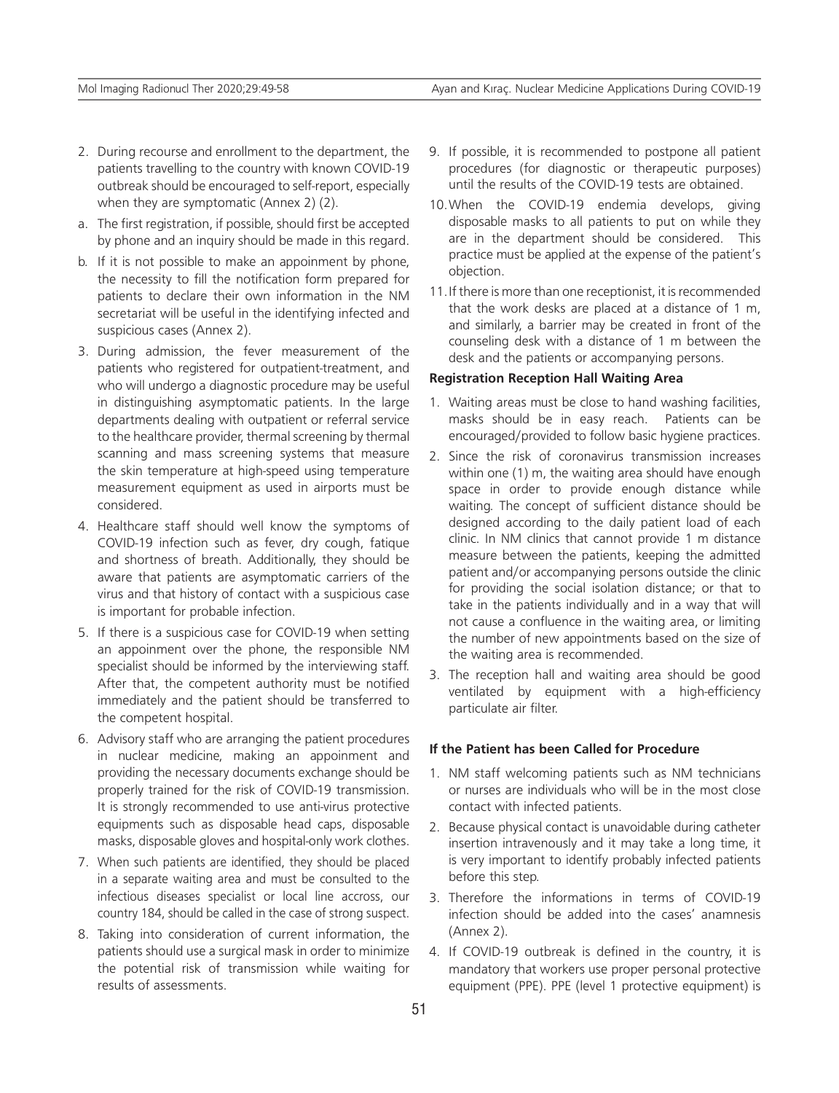- 2. During recourse and enrollment to the department, the patients travelling to the country with known COVID-19 outbreak should be encouraged to self-report, especially when they are symptomatic (Annex 2) (2).
- a. The first registration, if possible, should first be accepted by phone and an inquiry should be made in this regard.
- b. If it is not possible to make an appoinment by phone, the necessity to fill the notification form prepared for patients to declare their own information in the NM secretariat will be useful in the identifying infected and suspicious cases (Annex 2).
- 3. During admission, the fever measurement of the patients who registered for outpatient-treatment, and who will undergo a diagnostic procedure may be useful in distinguishing asymptomatic patients. In the large departments dealing with outpatient or referral service to the healthcare provider, thermal screening by thermal scanning and mass screening systems that measure the skin temperature at high-speed using temperature measurement equipment as used in airports must be considered.
- 4. Healthcare staff should well know the symptoms of COVID-19 infection such as fever, dry cough, fatique and shortness of breath. Additionally, they should be aware that patients are asymptomatic carriers of the virus and that history of contact with a suspicious case is important for probable infection.
- 5. If there is a suspicious case for COVID-19 when setting an appoinment over the phone, the responsible NM specialist should be informed by the interviewing staff. After that, the competent authority must be notified immediately and the patient should be transferred to the competent hospital.
- 6. Advisory staff who are arranging the patient procedures in nuclear medicine, making an appoinment and providing the necessary documents exchange should be properly trained for the risk of COVID-19 transmission. It is strongly recommended to use anti-virus protective equipments such as disposable head caps, disposable masks, disposable gloves and hospital-only work clothes.
- 7. When such patients are identified, they should be placed in a separate waiting area and must be consulted to the infectious diseases specialist or local line accross, our country 184, should be called in the case of strong suspect.
- 8. Taking into consideration of current information, the patients should use a surgical mask in order to minimize the potential risk of transmission while waiting for results of assessments.
- 9. If possible, it is recommended to postpone all patient procedures (for diagnostic or therapeutic purposes) until the results of the COVID-19 tests are obtained.
- 10.When the COVID-19 endemia develops, giving disposable masks to all patients to put on while they are in the department should be considered. This practice must be applied at the expense of the patient's objection.
- 11.If there is more than one receptionist, it is recommended that the work desks are placed at a distance of 1 m, and similarly, a barrier may be created in front of the counseling desk with a distance of 1 m between the desk and the patients or accompanying persons.

## **Registration Reception Hall Waiting Area**

- 1. Waiting areas must be close to hand washing facilities, masks should be in easy reach. Patients can be encouraged/provided to follow basic hygiene practices.
- 2. Since the risk of coronavirus transmission increases within one (1) m, the waiting area should have enough space in order to provide enough distance while waiting. The concept of sufficient distance should be designed according to the daily patient load of each clinic. In NM clinics that cannot provide 1 m distance measure between the patients, keeping the admitted patient and/or accompanying persons outside the clinic for providing the social isolation distance; or that to take in the patients individually and in a way that will not cause a confluence in the waiting area, or limiting the number of new appointments based on the size of the waiting area is recommended.
- 3. The reception hall and waiting area should be good ventilated by equipment with a high-efficiency particulate air filter.

#### **If the Patient has been Called for Procedure**

- 1. NM staff welcoming patients such as NM technicians or nurses are individuals who will be in the most close contact with infected patients.
- 2. Because physical contact is unavoidable during catheter insertion intravenously and it may take a long time, it is very important to identify probably infected patients before this step.
- 3. Therefore the informations in terms of COVID-19 infection should be added into the cases' anamnesis (Annex 2).
- 4. If COVID-19 outbreak is defined in the country, it is mandatory that workers use proper personal protective equipment (PPE). PPE (level 1 protective equipment) is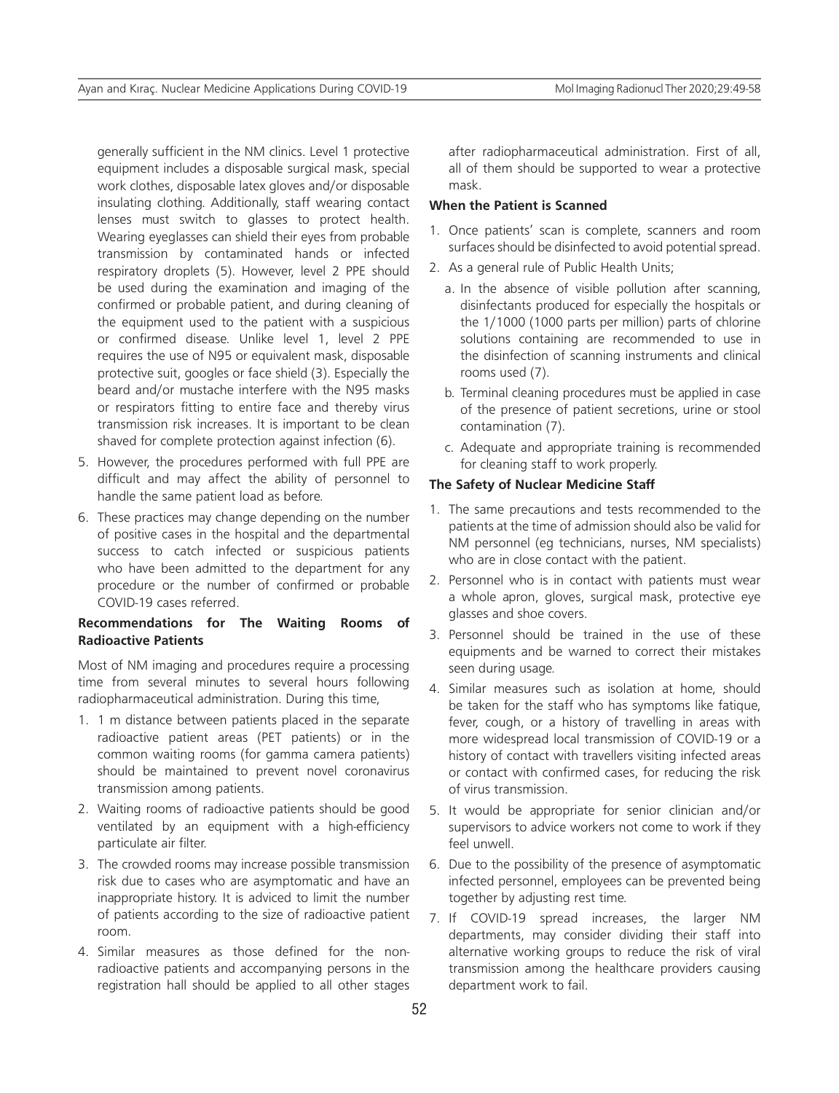generally sufficient in the NM clinics. Level 1 protective equipment includes a disposable surgical mask, special work clothes, disposable latex gloves and/or disposable insulating clothing. Additionally, staff wearing contact lenses must switch to glasses to protect health. Wearing eyeglasses can shield their eyes from probable transmission by contaminated hands or infected respiratory droplets (5). However, level 2 PPE should be used during the examination and imaging of the confirmed or probable patient, and during cleaning of the equipment used to the patient with a suspicious or confirmed disease. Unlike level 1, level 2 PPE requires the use of N95 or equivalent mask, disposable protective suit, googles or face shield (3). Especially the beard and/or mustache interfere with the N95 masks or respirators fitting to entire face and thereby virus transmission risk increases. It is important to be clean shaved for complete protection against infection (6).

- 5. However, the procedures performed with full PPE are difficult and may affect the ability of personnel to handle the same patient load as before.
- 6. These practices may change depending on the number of positive cases in the hospital and the departmental success to catch infected or suspicious patients who have been admitted to the department for any procedure or the number of confirmed or probable COVID-19 cases referred.

## **Recommendations for The Waiting Rooms of Radioactive Patients**

Most of NM imaging and procedures require a processing time from several minutes to several hours following radiopharmaceutical administration. During this time,

- 1. 1 m distance between patients placed in the separate radioactive patient areas (PET patients) or in the common waiting rooms (for gamma camera patients) should be maintained to prevent novel coronavirus transmission among patients.
- 2. Waiting rooms of radioactive patients should be good ventilated by an equipment with a high-efficiency particulate air filter.
- 3. The crowded rooms may increase possible transmission risk due to cases who are asymptomatic and have an inappropriate history. It is adviced to limit the number of patients according to the size of radioactive patient room.
- 4. Similar measures as those defined for the nonradioactive patients and accompanying persons in the registration hall should be applied to all other stages

after radiopharmaceutical administration. First of all, all of them should be supported to wear a protective mask.

## **When the Patient is Scanned**

- 1. Once patients' scan is complete, scanners and room surfaces should be disinfected to avoid potential spread.
- 2. As a general rule of Public Health Units;
	- a. In the absence of visible pollution after scanning, disinfectants produced for especially the hospitals or the 1/1000 (1000 parts per million) parts of chlorine solutions containing are recommended to use in the disinfection of scanning instruments and clinical rooms used (7).
	- b. Terminal cleaning procedures must be applied in case of the presence of patient secretions, urine or stool contamination (7).
	- c. Adequate and appropriate training is recommended for cleaning staff to work properly.

## **The Safety of Nuclear Medicine Staff**

- 1. The same precautions and tests recommended to the patients at the time of admission should also be valid for NM personnel (eg technicians, nurses, NM specialists) who are in close contact with the patient.
- 2. Personnel who is in contact with patients must wear a whole apron, gloves, surgical mask, protective eye glasses and shoe covers.
- 3. Personnel should be trained in the use of these equipments and be warned to correct their mistakes seen during usage.
- 4. Similar measures such as isolation at home, should be taken for the staff who has symptoms like fatique, fever, cough, or a history of travelling in areas with more widespread local transmission of COVID-19 or a history of contact with travellers visiting infected areas or contact with confirmed cases, for reducing the risk of virus transmission.
- 5. It would be appropriate for senior clinician and/or supervisors to advice workers not come to work if they feel unwell.
- 6. Due to the possibility of the presence of asymptomatic infected personnel, employees can be prevented being together by adjusting rest time.
- 7. If COVID-19 spread increases, the larger NM departments, may consider dividing their staff into alternative working groups to reduce the risk of viral transmission among the healthcare providers causing department work to fail.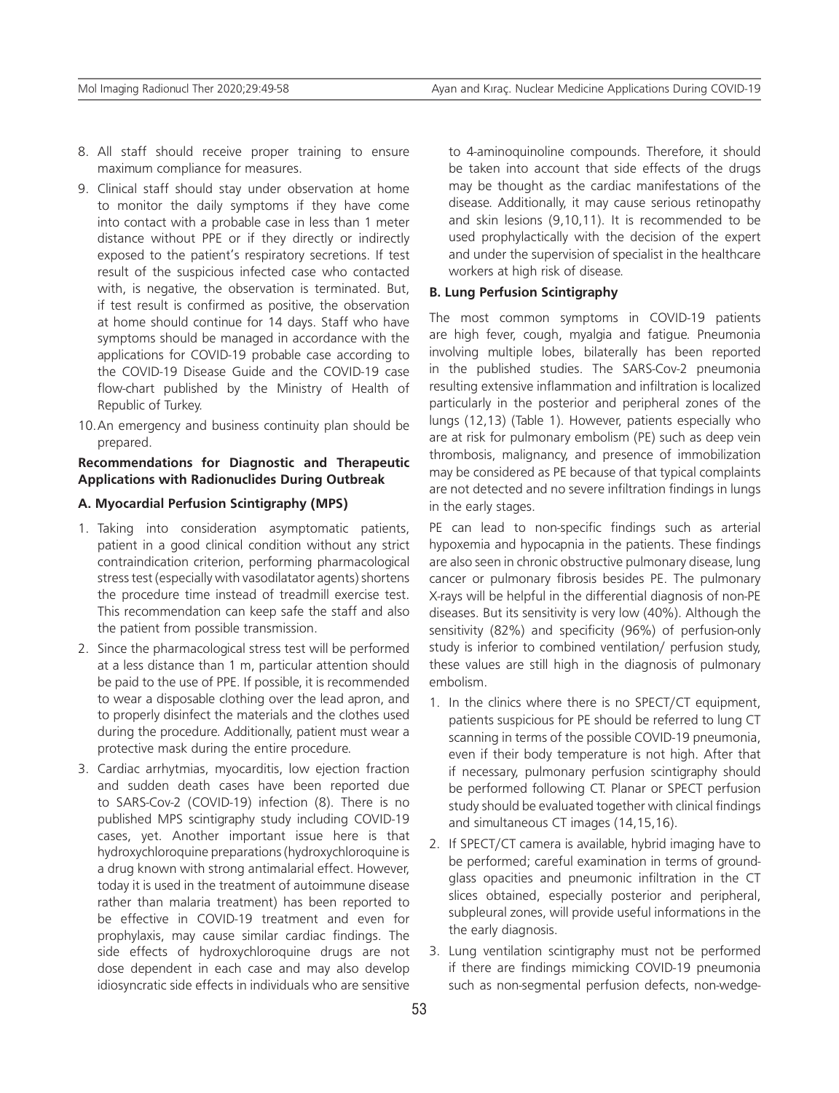- 8. All staff should receive proper training to ensure maximum compliance for measures.
- 9. Clinical staff should stay under observation at home to monitor the daily symptoms if they have come into contact with a probable case in less than 1 meter distance without PPE or if they directly or indirectly exposed to the patient's respiratory secretions. If test result of the suspicious infected case who contacted with, is negative, the observation is terminated. But, if test result is confirmed as positive, the observation at home should continue for 14 days. Staff who have symptoms should be managed in accordance with the applications for COVID-19 probable case according to the COVID-19 Disease Guide and the COVID-19 case flow-chart published by the Ministry of Health of Republic of Turkey.
- 10.An emergency and business continuity plan should be prepared.

## **Recommendations for Diagnostic and Therapeutic Applications with Radionuclides During Outbreak**

#### **A. Myocardial Perfusion Scintigraphy (MPS)**

- 1. Taking into consideration asymptomatic patients, patient in a good clinical condition without any strict contraindication criterion, performing pharmacological stress test (especially with vasodilatator agents) shortens the procedure time instead of treadmill exercise test. This recommendation can keep safe the staff and also the patient from possible transmission.
- 2. Since the pharmacological stress test will be performed at a less distance than 1 m, particular attention should be paid to the use of PPE. If possible, it is recommended to wear a disposable clothing over the lead apron, and to properly disinfect the materials and the clothes used during the procedure. Additionally, patient must wear a protective mask during the entire procedure.
- 3. Cardiac arrhytmias, myocarditis, low ejection fraction and sudden death cases have been reported due to SARS-Cov-2 (COVID-19) infection (8). There is no published MPS scintigraphy study including COVID-19 cases, yet. Another important issue here is that hydroxychloroquine preparations (hydroxychloroquine is a drug known with strong antimalarial effect. However, today it is used in the treatment of autoimmune disease rather than malaria treatment) has been reported to be effective in COVID-19 treatment and even for prophylaxis, may cause similar cardiac findings. The side effects of hydroxychloroquine drugs are not dose dependent in each case and may also develop idiosyncratic side effects in individuals who are sensitive

to 4-aminoquinoline compounds. Therefore, it should be taken into account that side effects of the drugs may be thought as the cardiac manifestations of the disease. Additionally, it may cause serious retinopathy and skin lesions (9,10,11). It is recommended to be used prophylactically with the decision of the expert and under the supervision of specialist in the healthcare workers at high risk of disease.

### **B. Lung Perfusion Scintigraphy**

The most common symptoms in COVID-19 patients are high fever, cough, myalgia and fatigue. Pneumonia involving multiple lobes, bilaterally has been reported in the published studies. The SARS-Cov-2 pneumonia resulting extensive inflammation and infiltration is localized particularly in the posterior and peripheral zones of the lungs (12,13) (Table 1). However, patients especially who are at risk for pulmonary embolism (PE) such as deep vein thrombosis, malignancy, and presence of immobilization may be considered as PE because of that typical complaints are not detected and no severe infiltration findings in lungs in the early stages.

PE can lead to non-specific findings such as arterial hypoxemia and hypocapnia in the patients. These findings are also seen in chronic obstructive pulmonary disease, lung cancer or pulmonary fibrosis besides PE. The pulmonary X-rays will be helpful in the differential diagnosis of non-PE diseases. But its sensitivity is very low (40%). Although the sensitivity (82%) and specificity (96%) of perfusion-only study is inferior to combined ventilation/ perfusion study, these values are still high in the diagnosis of pulmonary embolism.

- 1. In the clinics where there is no SPECT/CT equipment, patients suspicious for PE should be referred to lung CT scanning in terms of the possible COVID-19 pneumonia, even if their body temperature is not high. After that if necessary, pulmonary perfusion scintigraphy should be performed following CT. Planar or SPECT perfusion study should be evaluated together with clinical findings and simultaneous CT images (14,15,16).
- 2. If SPECT/CT camera is available, hybrid imaging have to be performed; careful examination in terms of groundglass opacities and pneumonic infiltration in the CT slices obtained, especially posterior and peripheral, subpleural zones, will provide useful informations in the the early diagnosis.
- 3. Lung ventilation scintigraphy must not be performed if there are findings mimicking COVID-19 pneumonia such as non-segmental perfusion defects, non-wedge-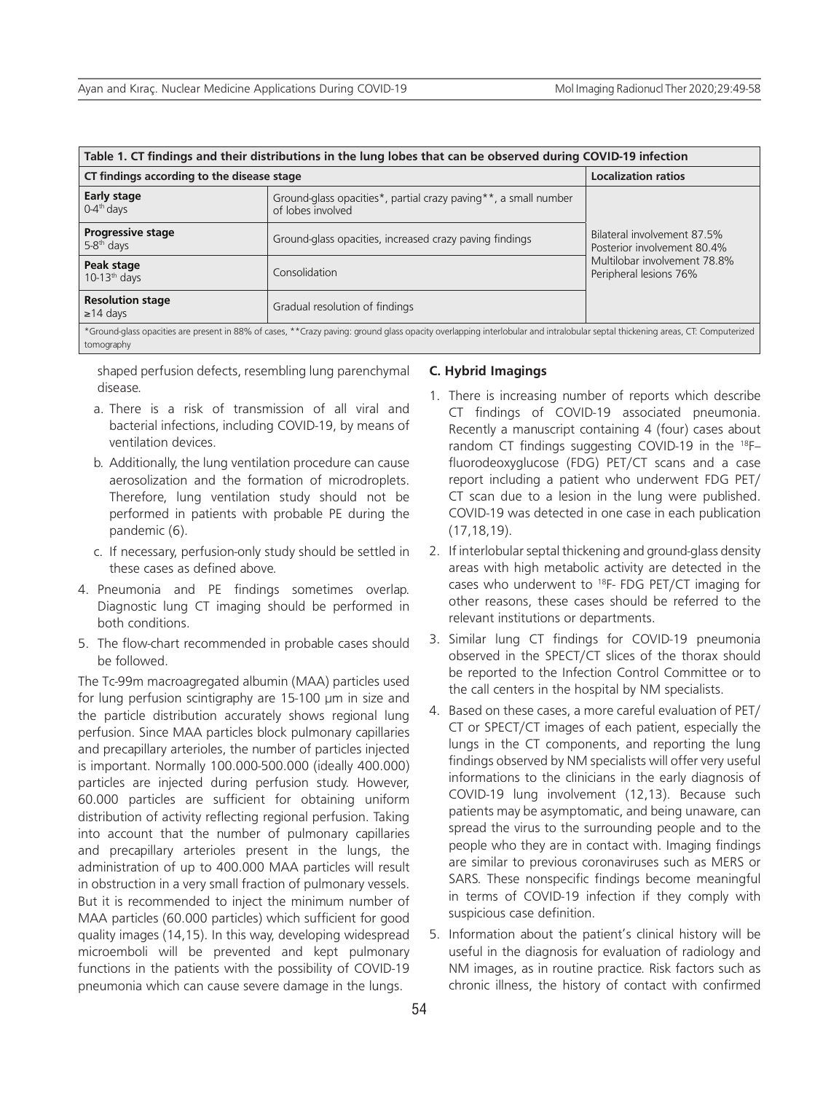| Table 1. CT findings and their distributions in the lung lobes that can be observed during COVID-19 infection                                                                               |                                                                                      |                                                                                                                      |  |  |  |  |  |
|---------------------------------------------------------------------------------------------------------------------------------------------------------------------------------------------|--------------------------------------------------------------------------------------|----------------------------------------------------------------------------------------------------------------------|--|--|--|--|--|
| CT findings according to the disease stage                                                                                                                                                  | <b>Localization ratios</b>                                                           |                                                                                                                      |  |  |  |  |  |
| Early stage<br>$0-4$ <sup>th</sup> days                                                                                                                                                     | Ground-glass opacities*, partial crazy paving**, a small number<br>of lobes involved | Bilateral involvement 87.5%<br>Posterior involvement 80.4%<br>Multilobar involvement 78.8%<br>Peripheral lesions 76% |  |  |  |  |  |
| <b>Progressive stage</b><br>$5-8$ <sup>th</sup> days                                                                                                                                        | Ground-glass opacities, increased crazy paving findings                              |                                                                                                                      |  |  |  |  |  |
| Peak stage<br>$10-13th$ days                                                                                                                                                                | Consolidation                                                                        |                                                                                                                      |  |  |  |  |  |
| <b>Resolution stage</b><br>$\geq$ 14 days                                                                                                                                                   | Gradual resolution of findings                                                       |                                                                                                                      |  |  |  |  |  |
| *Ground-glass opacities are present in 88% of cases, **Crazy paving: ground glass opacity overlapping interlobular and intralobular septal thickening areas, CT: Computerized<br>tomography |                                                                                      |                                                                                                                      |  |  |  |  |  |

shaped perfusion defects, resembling lung parenchymal disease.

- a. There is a risk of transmission of all viral and bacterial infections, including COVID-19, by means of ventilation devices.
- b. Additionally, the lung ventilation procedure can cause aerosolization and the formation of microdroplets. Therefore, lung ventilation study should not be performed in patients with probable PE during the pandemic (6).
- c. If necessary, perfusion-only study should be settled in these cases as defined above.
- 4. Pneumonia and PE findings sometimes overlap. Diagnostic lung CT imaging should be performed in both conditions.
- 5. The flow-chart recommended in probable cases should be followed.

The Tc-99m macroagregated albumin (MAA) particles used for lung perfusion scintigraphy are 15-100 μm in size and the particle distribution accurately shows regional lung perfusion. Since MAA particles block pulmonary capillaries and precapillary arterioles, the number of particles injected is important. Normally 100.000-500.000 (ideally 400.000) particles are injected during perfusion study. However, 60.000 particles are sufficient for obtaining uniform distribution of activity reflecting regional perfusion. Taking into account that the number of pulmonary capillaries and precapillary arterioles present in the lungs, the administration of up to 400.000 MAA particles will result in obstruction in a very small fraction of pulmonary vessels. But it is recommended to inject the minimum number of MAA particles (60.000 particles) which sufficient for good quality images (14,15). In this way, developing widespread microemboli will be prevented and kept pulmonary functions in the patients with the possibility of COVID-19 pneumonia which can cause severe damage in the lungs.

#### **C. Hybrid Imagings**

- 1. There is increasing number of reports which describe CT findings of COVID-19 associated pneumonia. Recently a manuscript containing 4 (four) cases about random CT findings suggesting COVID-19 in the <sup>18</sup>Ffluorodeoxyglucose (FDG) PET/CT scans and a case report including a patient who underwent FDG PET/ CT scan due to a lesion in the lung were published. COVID-19 was detected in one case in each publication (17,18,19).
- 2. If interlobular septal thickening and ground-glass density areas with high metabolic activity are detected in the cases who underwent to <sup>18</sup>F- FDG PET/CT imaging for other reasons, these cases should be referred to the relevant institutions or departments.
- 3. Similar lung CT findings for COVID-19 pneumonia observed in the SPECT/CT slices of the thorax should be reported to the Infection Control Committee or to the call centers in the hospital by NM specialists.
- 4. Based on these cases, a more careful evaluation of PET/ CT or SPECT/CT images of each patient, especially the lungs in the CT components, and reporting the lung findings observed by NM specialists will offer very useful informations to the clinicians in the early diagnosis of COVID-19 lung involvement (12,13). Because such patients may be asymptomatic, and being unaware, can spread the virus to the surrounding people and to the people who they are in contact with. Imaging findings are similar to previous coronaviruses such as MERS or SARS. These nonspecific findings become meaningful in terms of COVID-19 infection if they comply with suspicious case definition.
- 5. Information about the patient's clinical history will be useful in the diagnosis for evaluation of radiology and NM images, as in routine practice. Risk factors such as chronic illness, the history of contact with confirmed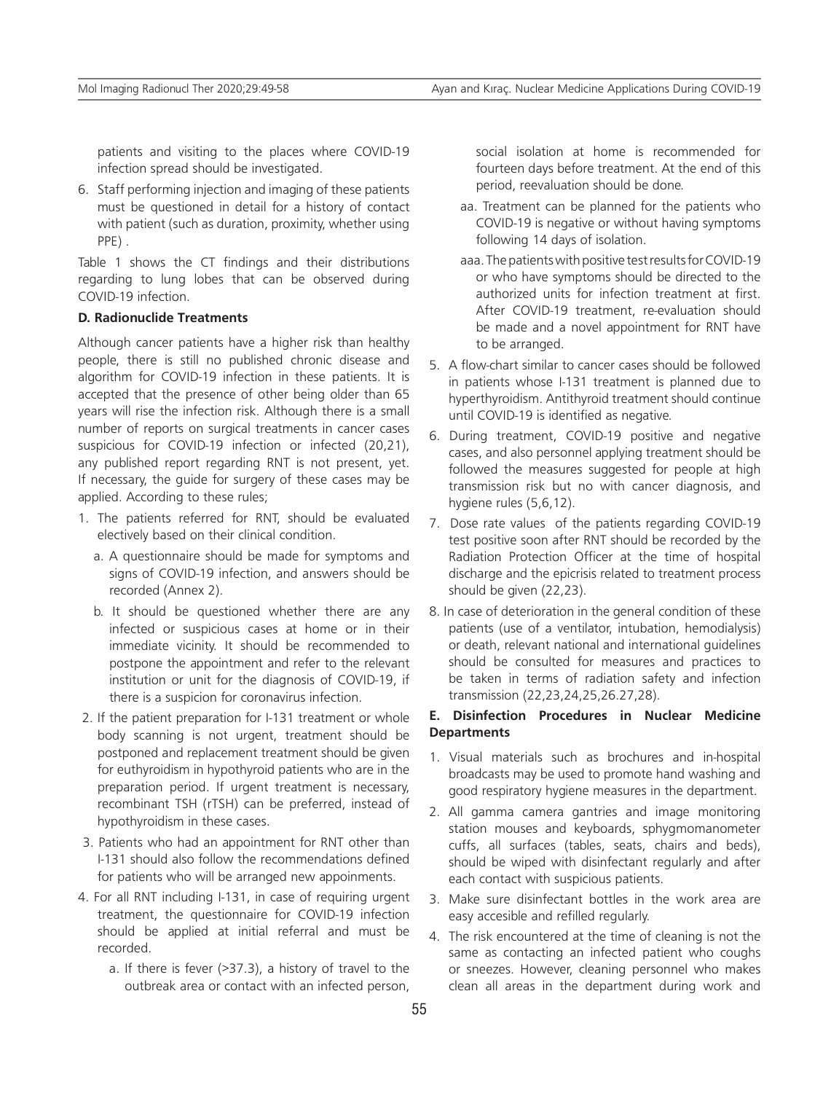patients and visiting to the places where COVID-19 infection spread should be investigated.

6. Staff performing injection and imaging of these patients must be questioned in detail for a history of contact with patient (such as duration, proximity, whether using PPE) .

Table 1 shows the CT findings and their distributions regarding to lung lobes that can be observed during COVID-19 infection.

### **D. Radionuclide Treatments**

Although cancer patients have a higher risk than healthy people, there is still no published chronic disease and algorithm for COVID-19 infection in these patients. It is accepted that the presence of other being older than 65 years will rise the infection risk. Although there is a small number of reports on surgical treatments in cancer cases suspicious for COVID-19 infection or infected (20,21), any published report regarding RNT is not present, yet. If necessary, the guide for surgery of these cases may be applied. According to these rules;

- 1. The patients referred for RNT, should be evaluated electively based on their clinical condition.
	- a. A questionnaire should be made for symptoms and signs of COVID-19 infection, and answers should be recorded (Annex 2).
	- b. It should be questioned whether there are any infected or suspicious cases at home or in their immediate vicinity. It should be recommended to postpone the appointment and refer to the relevant institution or unit for the diagnosis of COVID-19, if there is a suspicion for coronavirus infection.
- 2. If the patient preparation for I-131 treatment or whole body scanning is not urgent, treatment should be postponed and replacement treatment should be given for euthyroidism in hypothyroid patients who are in the preparation period. If urgent treatment is necessary, recombinant TSH (rTSH) can be preferred, instead of hypothyroidism in these cases.
- 3. Patients who had an appointment for RNT other than I-131 should also follow the recommendations defined for patients who will be arranged new appoinments.
- 4. For all RNT including I-131, in case of requiring urgent treatment, the questionnaire for COVID-19 infection should be applied at initial referral and must be recorded.
	- a. If there is fever (>37.3), a history of travel to the outbreak area or contact with an infected person,

social isolation at home is recommended for fourteen days before treatment. At the end of this period, reevaluation should be done.

- aa. Treatment can be planned for the patients who COVID-19 is negative or without having symptoms following 14 days of isolation.
- aaa. The patients with positive test results for COVID-19 or who have symptoms should be directed to the authorized units for infection treatment at first. After COVID-19 treatment, re-evaluation should be made and a novel appointment for RNT have to be arranged.
- 5. A flow-chart similar to cancer cases should be followed in patients whose I-131 treatment is planned due to hyperthyroidism. Antithyroid treatment should continue until COVID-19 is identified as negative.
- 6. During treatment, COVID-19 positive and negative cases, and also personnel applying treatment should be followed the measures suggested for people at high transmission risk but no with cancer diagnosis, and hygiene rules (5,6,12).
- 7. Dose rate values of the patients regarding COVID-19 test positive soon after RNT should be recorded by the Radiation Protection Officer at the time of hospital discharge and the epicrisis related to treatment process should be given (22,23).
- 8. In case of deterioration in the general condition of these patients (use of a ventilator, intubation, hemodialysis) or death, relevant national and international guidelines should be consulted for measures and practices to be taken in terms of radiation safety and infection transmission (22,23,24,25,26.27,28).

# **E. Disinfection Procedures in Nuclear Medicine Departments**

- 1. Visual materials such as brochures and in-hospital broadcasts may be used to promote hand washing and good respiratory hygiene measures in the department.
- 2. All gamma camera gantries and image monitoring station mouses and keyboards, sphygmomanometer cuffs, all surfaces (tables, seats, chairs and beds), should be wiped with disinfectant regularly and after each contact with suspicious patients.
- 3. Make sure disinfectant bottles in the work area are easy accesible and refilled regularly.
- 4. The risk encountered at the time of cleaning is not the same as contacting an infected patient who coughs or sneezes. However, cleaning personnel who makes clean all areas in the department during work and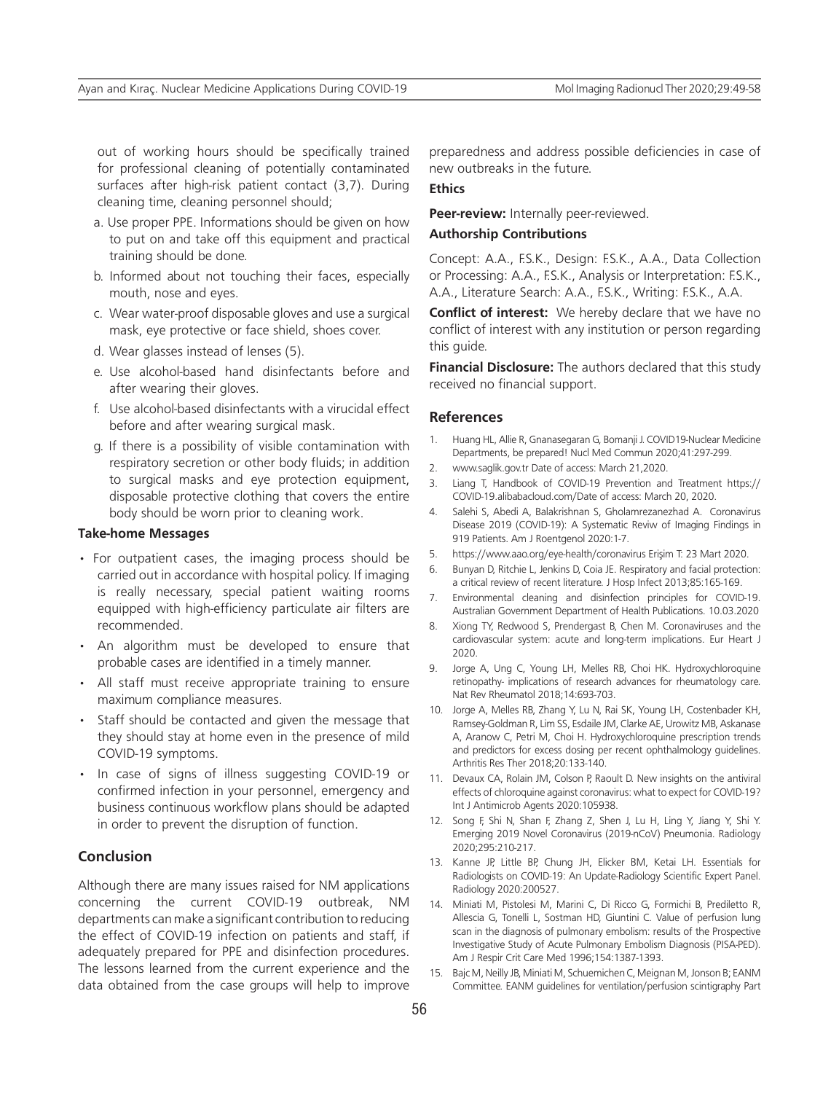out of working hours should be specifically trained for professional cleaning of potentially contaminated surfaces after high-risk patient contact (3,7). During cleaning time, cleaning personnel should;

- a. Use proper PPE. Informations should be given on how to put on and take off this equipment and practical training should be done.
- b. Informed about not touching their faces, especially mouth, nose and eyes.
- c. Wear water-proof disposable gloves and use a surgical mask, eye protective or face shield, shoes cover.
- d. Wear glasses instead of lenses (5).
- e. Use alcohol-based hand disinfectants before and after wearing their gloves.
- f. Use alcohol-based disinfectants with a virucidal effect before and after wearing surgical mask.
- g. If there is a possibility of visible contamination with respiratory secretion or other body fluids; in addition to surgical masks and eye protection equipment, disposable protective clothing that covers the entire body should be worn prior to cleaning work.

## **Take-home Messages**

- For outpatient cases, the imaging process should be carried out in accordance with hospital policy. If imaging is really necessary, special patient waiting rooms equipped with high-efficiency particulate air filters are recommended.
- An algorithm must be developed to ensure that probable cases are identified in a timely manner.
- All staff must receive appropriate training to ensure maximum compliance measures.
- Staff should be contacted and given the message that they should stay at home even in the presence of mild COVID-19 symptoms.
- In case of signs of illness suggesting COVID-19 or confirmed infection in your personnel, emergency and business continuous workflow plans should be adapted in order to prevent the disruption of function.

## **Conclusion**

Although there are many issues raised for NM applications concerning the current COVID-19 outbreak, NM departments can make a significant contribution to reducing the effect of COVID-19 infection on patients and staff, if adequately prepared for PPE and disinfection procedures. The lessons learned from the current experience and the data obtained from the case groups will help to improve preparedness and address possible deficiencies in case of new outbreaks in the future.

## **Ethics**

#### **Peer-review:** Internally peer-reviewed.

# **Authorship Contributions**

Concept: A.A., F.S.K., Design: F.S.K., A.A., Data Collection or Processing: A.A., F.S.K., Analysis or Interpretation: F.S.K., A.A., Literature Search: A.A., F.S.K., Writing: F.S.K., A.A.

**Conflict of interest:** We hereby declare that we have no conflict of interest with any institution or person regarding this guide.

**Financial Disclosure:** The authors declared that this study received no financial support.

### **References**

- 1. Huang HL, Allie R, Gnanasegaran G, Bomanji J. COVID19-Nuclear Medicine Departments, be prepared! Nucl Med Commun 2020;41:297-299.
- 2. www.saglik.gov.tr Date of access: March 21,2020.
- 3. Liang T, Handbook of COVID-19 Prevention and Treatment https:// COVID-19.alibabacloud.com/Date of access: March 20, 2020.
- 4. Salehi S, Abedi A, Balakrishnan S, Gholamrezanezhad A. Coronavirus Disease 2019 (COVID-19): A Systematic Reviw of Imaging Findings in 919 Patients. Am J Roentgenol 2020:1-7.
- 5. https://www.aao.org/eye-health/coronavirus Erişim T: 23 Mart 2020.
- 6. Bunyan D, Ritchie L, Jenkins D, Coia JE. Respiratory and facial protection: a critical review of recent literature. J Hosp Infect 2013;85:165-169.
- 7. Environmental cleaning and disinfection principles for COVID-19. Australian Government Department of Health Publications. 10.03.2020
- 8. Xiong TY, Redwood S, Prendergast B, Chen M. Coronaviruses and the cardiovascular system: acute and long-term implications. Eur Heart J 2020.
- 9. Jorge A, Ung C, Young LH, Melles RB, Choi HK. Hydroxychloroquine retinopathy- implications of research advances for rheumatology care. Nat Rev Rheumatol 2018;14:693-703.
- 10. Jorge A, Melles RB, Zhang Y, Lu N, Rai SK, Young LH, Costenbader KH, Ramsey-Goldman R, Lim SS, Esdaile JM, Clarke AE, Urowitz MB, Askanase A, Aranow C, Petri M, Choi H. Hydroxychloroquine prescription trends and predictors for excess dosing per recent ophthalmology guidelines. Arthritis Res Ther 2018;20:133-140.
- 11. Devaux CA, Rolain JM, Colson P, Raoult D. New insights on the antiviral effects of chloroquine against coronavirus: what to expect for COVID-19? Int J Antimicrob Agents 2020:105938.
- 12. Song F, Shi N, Shan F, Zhang Z, Shen J, Lu H, Ling Y, Jiang Y, Shi Y. Emerging 2019 Novel Coronavirus (2019-nCoV) Pneumonia. Radiology 2020;295:210-217.
- 13. Kanne JP, Little BP, Chung JH, Elicker BM, Ketai LH. Essentials for Radiologists on COVID-19: An Update-Radiology Scientific Expert Panel. Radiology 2020:200527.
- 14. Miniati M, Pistolesi M, Marini C, Di Ricco G, Formichi B, Prediletto R, Allescia G, Tonelli L, Sostman HD, Giuntini C. Value of perfusion lung scan in the diagnosis of pulmonary embolism: results of the Prospective Investigative Study of Acute Pulmonary Embolism Diagnosis (PISA-PED). Am J Respir Crit Care Med 1996;154:1387-1393.
- 15. Bajc M, Neilly JB, Miniati M, Schuemichen C, Meignan M, Jonson B; EANM Committee. EANM guidelines for ventilation/perfusion scintigraphy Part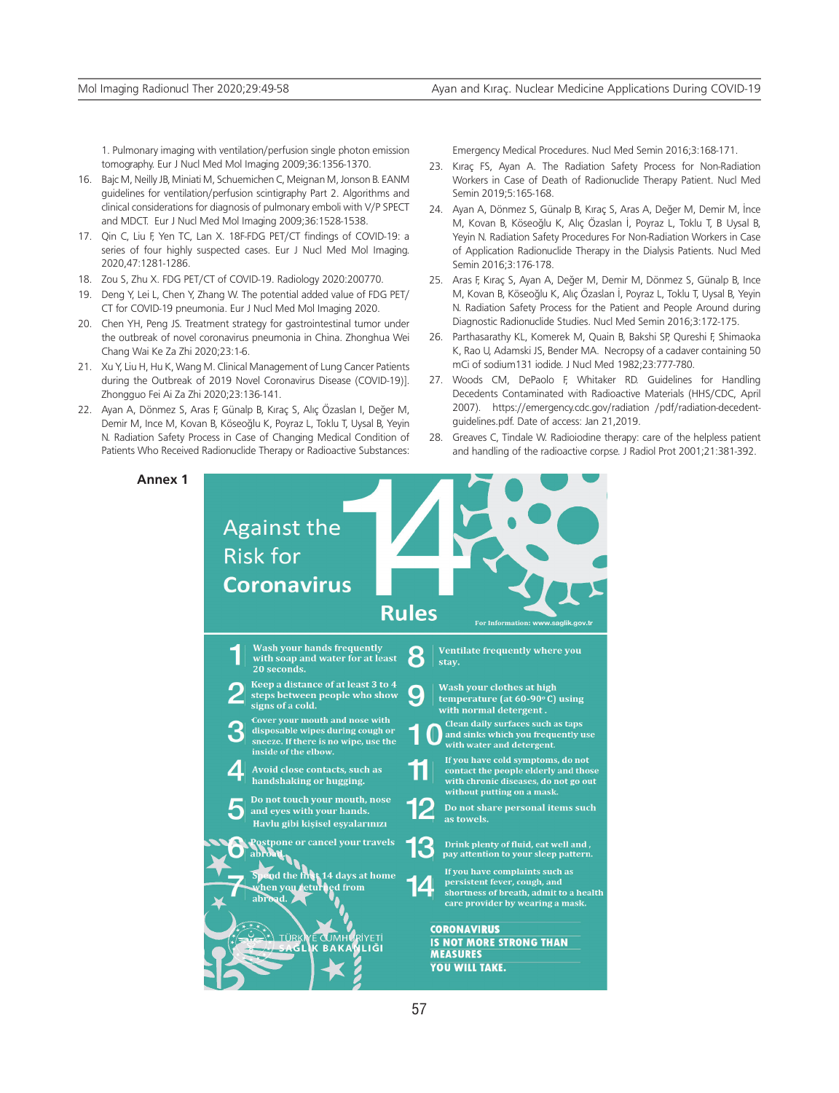1. Pulmonary imaging with ventilation/perfusion single photon emission tomography. Eur J Nucl Med Mol Imaging 2009;36:1356-1370.

- 16. Bajc M, Neilly JB, Miniati M, Schuemichen C, Meignan M, Jonson B. EANM guidelines for ventilation/perfusion scintigraphy Part 2. Algorithms and clinical considerations for diagnosis of pulmonary emboli with V/P SPECT and MDCT. Eur J Nucl Med Mol Imaging 2009;36:1528-1538.
- 17. Qin C, Liu F, Yen TC, Lan X. 18F-FDG PET/CT findings of COVID-19: a series of four highly suspected cases. Eur J Nucl Med Mol Imaging. 2020,47:1281-1286.
- 18. Zou S, Zhu X. FDG PET/CT of COVID-19. Radiology 2020:200770.
- 19. Deng Y, Lei L, Chen Y, Zhang W. The potential added value of FDG PET/ CT for COVID-19 pneumonia. Eur J Nucl Med Mol Imaging 2020.
- 20. Chen YH, Peng JS. Treatment strategy for gastrointestinal tumor under the outbreak of novel coronavirus pneumonia in China. Zhonghua Wei Chang Wai Ke Za Zhi 2020;23:1-6.
- 21. Xu Y, Liu H, Hu K, Wang M. Clinical Management of Lung Cancer Patients during the Outbreak of 2019 Novel Coronavirus Disease (COVID-19)]. Zhongguo Fei Ai Za Zhi 2020;23:136-141.
- 22. Ayan A, Dönmez S, Aras F, Günalp B, Kıraç S, Alıç Özaslan I, Değer M, Demir M, Ince M, Kovan B, Köseoğlu K, Poyraz L, Toklu T, Uysal B, Yeyin N. Radiation Safety Process in Case of Changing Medical Condition of Patients Who Received Radionuclide Therapy or Radioactive Substances:

**Annex 1**

Emergency Medical Procedures. Nucl Med Semin 2016;3:168-171.

- 23. Kıraç FS, Ayan A. The Radiation Safety Process for Non-Radiation Workers in Case of Death of Radionuclide Therapy Patient. Nucl Med Semin 2019;5:165-168.
- 24. Ayan A, Dönmez S, Günalp B, Kıraç S, Aras A, Değer M, Demir M, İnce M, Kovan B, Köseoğlu K, Alıç Özaslan İ, Poyraz L, Toklu T, B Uysal B, Yeyin N. Radiation Safety Procedures For Non-Radiation Workers in Case of Application Radionuclide Therapy in the Dialysis Patients. Nucl Med Semin 2016;3:176-178.
- 25. Aras F, Kıraç S, Ayan A, Değer M, Demir M, Dönmez S, Günalp B, Ince M, Kovan B, Köseoğlu K, Alıç Özaslan İ, Poyraz L, Toklu T, Uysal B, Yeyin N. Radiation Safety Process for the Patient and People Around during Diagnostic Radionuclide Studies. Nucl Med Semin 2016;3:172-175.
- 26. Parthasarathy KL, Komerek M, Quain B, Bakshi SP, Qureshi F, Shimaoka K, Rao U, Adamski JS, Bender MA. Necropsy of a cadaver containing 50 mCi of sodium131 iodide. J Nucl Med 1982;23:777-780.
- 27. Woods CM, DePaolo F, Whitaker RD. Guidelines for Handling Decedents Contaminated with Radioactive Materials (HHS/CDC, April 2007). https://emergency.cdc.gov/radiation /pdf/radiation-decedentguidelines.pdf. Date of access: Jan 21,2019.
- 28. Greaves C, Tindale W. Radioiodine therapy: care of the helpless patient and handling of the radioactive corpse. J Radiol Prot 2001;21:381-392.